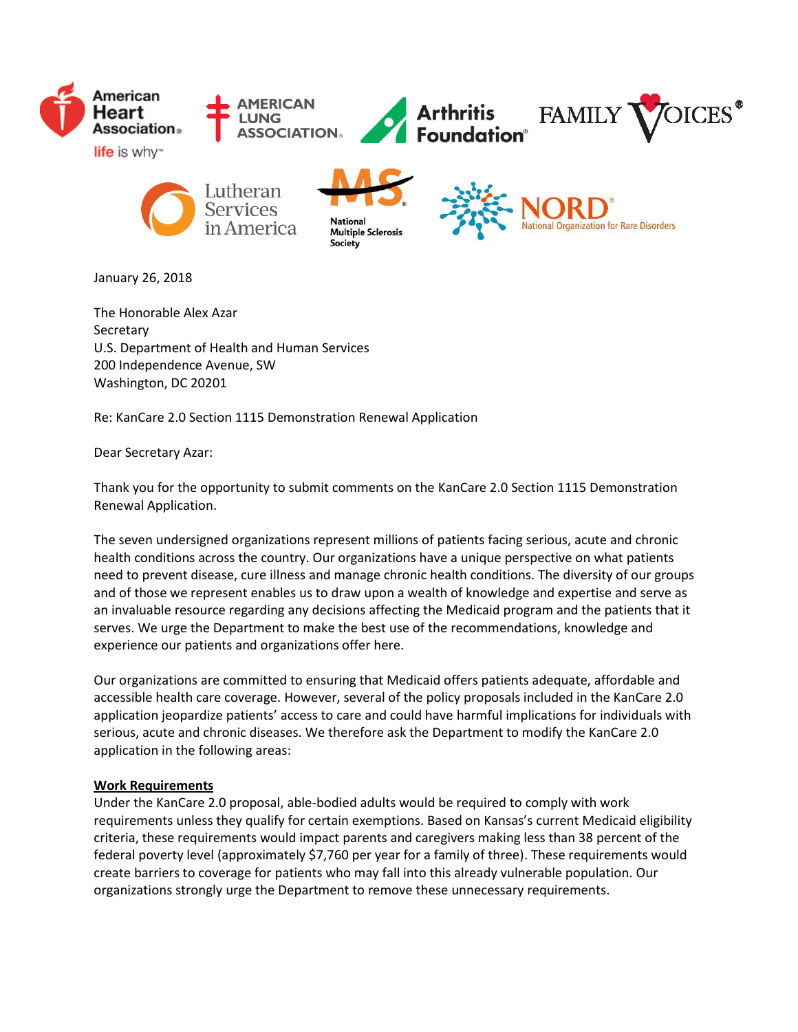

January 26, 2018

The Honorable Alex Azar **Secretary** U.S. Department of Health and Human Services 200 Independence Avenue, SW Washington, DC 20201

Re: KanCare 2.0 Section 1115 Demonstration Renewal Application

Dear Secretary Azar:

Thank you for the opportunity to submit comments on the KanCare 2.0 Section 1115 Demonstration Renewal Application.

The seven undersigned organizations represent millions of patients facing serious, acute and chronic health conditions across the country. Our organizations have a unique perspective on what patients need to prevent disease, cure illness and manage chronic health conditions. The diversity of our groups and of those we represent enables us to draw upon a wealth of knowledge and expertise and serve as an invaluable resource regarding any decisions affecting the Medicaid program and the patients that it serves. We urge the Department to make the best use of the recommendations, knowledge and experience our patients and organizations offer here.

Our organizations are committed to ensuring that Medicaid offers patients adequate, affordable and accessible health care coverage. However, several of the policy proposals included in the KanCare 2.0 application jeopardize patients' access to care and could have harmful implications for individuals with serious, acute and chronic diseases. We therefore ask the Department to modify the KanCare 2.0 application in the following areas:

## **Work Requirements**

Under the KanCare 2.0 proposal, able-bodied adults would be required to comply with work requirements unless they qualify for certain exemptions. Based on Kansas's current Medicaid eligibility criteria, these requirements would impact parents and caregivers making less than 38 percent of the federal poverty level (approximately \$7,760 per year for a family of three). These requirements would create barriers to coverage for patients who may fall into this already vulnerable population. Our organizations strongly urge the Department to remove these unnecessary requirements.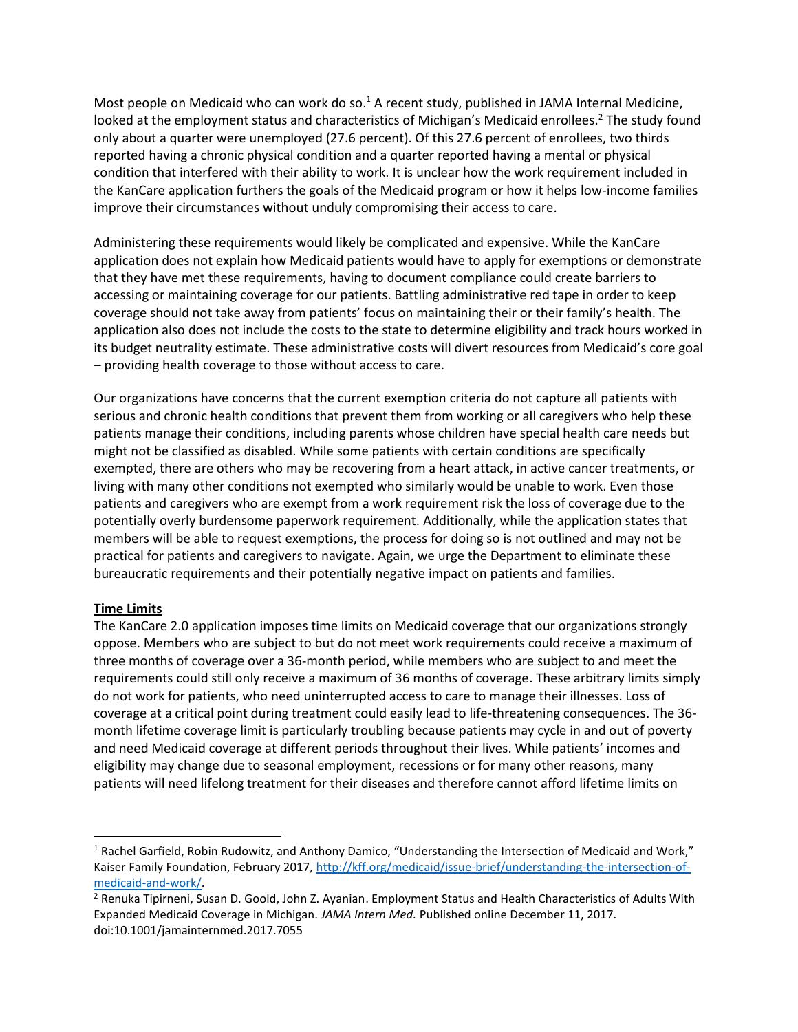Most people on Medicaid who can work do so.<sup>1</sup> A recent study, published in JAMA Internal Medicine, looked at the employment status and characteristics of Michigan's Medicaid enrollees.<sup>2</sup> The study found only about a quarter were unemployed (27.6 percent). Of this 27.6 percent of enrollees, two thirds reported having a chronic physical condition and a quarter reported having a mental or physical condition that interfered with their ability to work. It is unclear how the work requirement included in the KanCare application furthers the goals of the Medicaid program or how it helps low-income families improve their circumstances without unduly compromising their access to care.

Administering these requirements would likely be complicated and expensive. While the KanCare application does not explain how Medicaid patients would have to apply for exemptions or demonstrate that they have met these requirements, having to document compliance could create barriers to accessing or maintaining coverage for our patients. Battling administrative red tape in order to keep coverage should not take away from patients' focus on maintaining their or their family's health. The application also does not include the costs to the state to determine eligibility and track hours worked in its budget neutrality estimate. These administrative costs will divert resources from Medicaid's core goal – providing health coverage to those without access to care.

Our organizations have concerns that the current exemption criteria do not capture all patients with serious and chronic health conditions that prevent them from working or all caregivers who help these patients manage their conditions, including parents whose children have special health care needs but might not be classified as disabled. While some patients with certain conditions are specifically exempted, there are others who may be recovering from a heart attack, in active cancer treatments, or living with many other conditions not exempted who similarly would be unable to work. Even those patients and caregivers who are exempt from a work requirement risk the loss of coverage due to the potentially overly burdensome paperwork requirement. Additionally, while the application states that members will be able to request exemptions, the process for doing so is not outlined and may not be practical for patients and caregivers to navigate. Again, we urge the Department to eliminate these bureaucratic requirements and their potentially negative impact on patients and families.

## **Time Limits**

 $\overline{a}$ 

The KanCare 2.0 application imposes time limits on Medicaid coverage that our organizations strongly oppose. Members who are subject to but do not meet work requirements could receive a maximum of three months of coverage over a 36-month period, while members who are subject to and meet the requirements could still only receive a maximum of 36 months of coverage. These arbitrary limits simply do not work for patients, who need uninterrupted access to care to manage their illnesses. Loss of coverage at a critical point during treatment could easily lead to life-threatening consequences. The 36 month lifetime coverage limit is particularly troubling because patients may cycle in and out of poverty and need Medicaid coverage at different periods throughout their lives. While patients' incomes and eligibility may change due to seasonal employment, recessions or for many other reasons, many patients will need lifelong treatment for their diseases and therefore cannot afford lifetime limits on

<sup>1</sup> Rachel Garfield, Robin Rudowitz, and Anthony Damico, "Understanding the Intersection of Medicaid and Work," Kaiser Family Foundation, February 2017[, http://kff.org/medicaid/issue-brief/understanding-the-intersection-of](http://kff.org/medicaid/issue-brief/understanding-the-intersection-of-medicaid-and-work/)[medicaid-and-work/.](http://kff.org/medicaid/issue-brief/understanding-the-intersection-of-medicaid-and-work/)

<sup>2</sup> Renuka Tipirneni, Susan D. Goold, John Z. Ayanian. Employment Status and Health Characteristics of Adults With Expanded Medicaid Coverage in Michigan. *JAMA Intern Med.* Published online December 11, 2017. doi:10.1001/jamainternmed.2017.7055